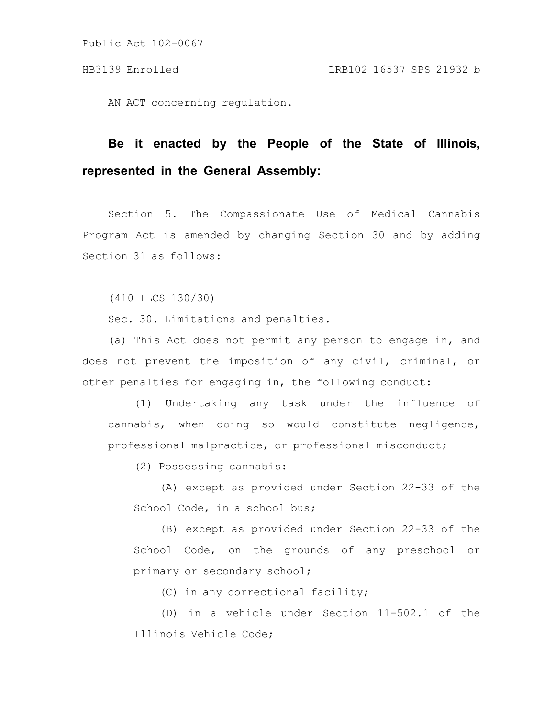Public Act 102-0067

AN ACT concerning regulation.

## **Be it enacted by the People of the State of Illinois, represented in the General Assembly:**

Section 5. The Compassionate Use of Medical Cannabis Program Act is amended by changing Section 30 and by adding Section 31 as follows:

(410 ILCS 130/30)

Sec. 30. Limitations and penalties.

(a) This Act does not permit any person to engage in, and does not prevent the imposition of any civil, criminal, or other penalties for engaging in, the following conduct:

(1) Undertaking any task under the influence of cannabis, when doing so would constitute negligence, professional malpractice, or professional misconduct;

(2) Possessing cannabis:

(A) except as provided under Section 22-33 of the School Code, in a school bus;

(B) except as provided under Section 22-33 of the School Code, on the grounds of any preschool or primary or secondary school;

(C) in any correctional facility;

(D) in a vehicle under Section 11-502.1 of the Illinois Vehicle Code;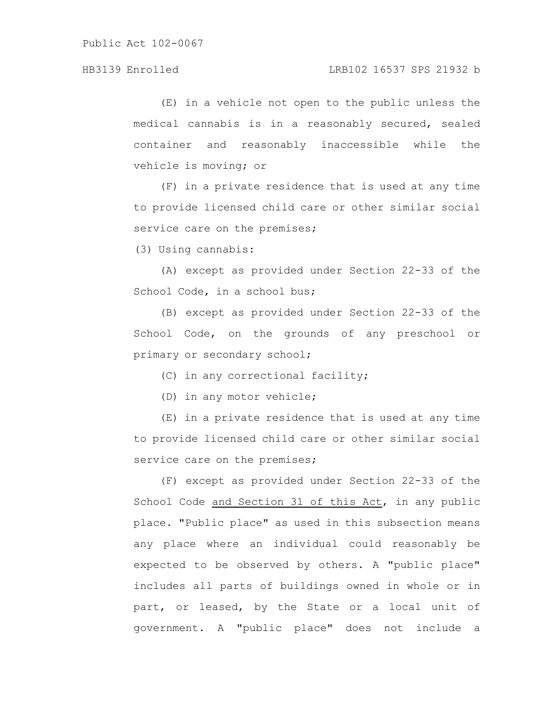(E) in a vehicle not open to the public unless the medical cannabis is in a reasonably secured, sealed container and reasonably inaccessible while the vehicle is moving; or

(F) in a private residence that is used at any time to provide licensed child care or other similar social service care on the premises;

(3) Using cannabis:

(A) except as provided under Section 22-33 of the School Code, in a school bus;

(B) except as provided under Section 22-33 of the School Code, on the grounds of any preschool or primary or secondary school;

(C) in any correctional facility;

(D) in any motor vehicle;

(E) in a private residence that is used at any time to provide licensed child care or other similar social service care on the premises;

(F) except as provided under Section 22-33 of the School Code and Section 31 of this Act, in any public place. "Public place" as used in this subsection means any place where an individual could reasonably be expected to be observed by others. A "public place" includes all parts of buildings owned in whole or in part, or leased, by the State or a local unit of government. A "public place" does not include a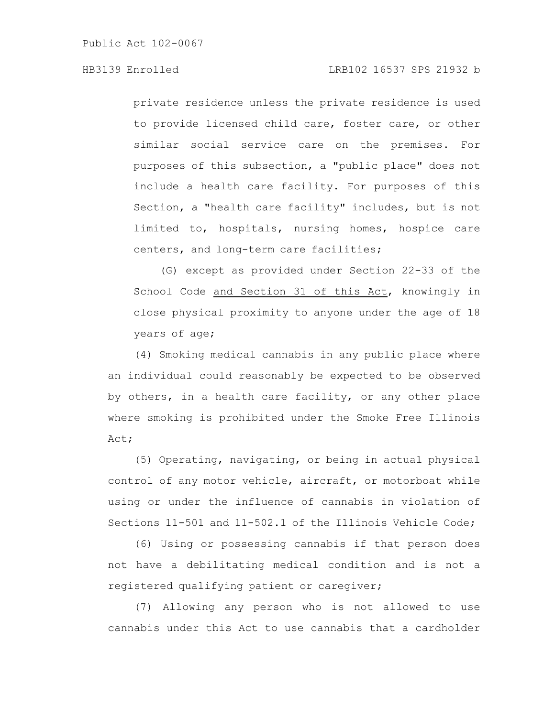private residence unless the private residence is used to provide licensed child care, foster care, or other similar social service care on the premises. For purposes of this subsection, a "public place" does not include a health care facility. For purposes of this Section, a "health care facility" includes, but is not limited to, hospitals, nursing homes, hospice care centers, and long-term care facilities;

(G) except as provided under Section 22-33 of the School Code and Section 31 of this Act, knowingly in close physical proximity to anyone under the age of 18 years of age;

(4) Smoking medical cannabis in any public place where an individual could reasonably be expected to be observed by others, in a health care facility, or any other place where smoking is prohibited under the Smoke Free Illinois Act;

(5) Operating, navigating, or being in actual physical control of any motor vehicle, aircraft, or motorboat while using or under the influence of cannabis in violation of Sections 11-501 and 11-502.1 of the Illinois Vehicle Code;

(6) Using or possessing cannabis if that person does not have a debilitating medical condition and is not a registered qualifying patient or caregiver;

(7) Allowing any person who is not allowed to use cannabis under this Act to use cannabis that a cardholder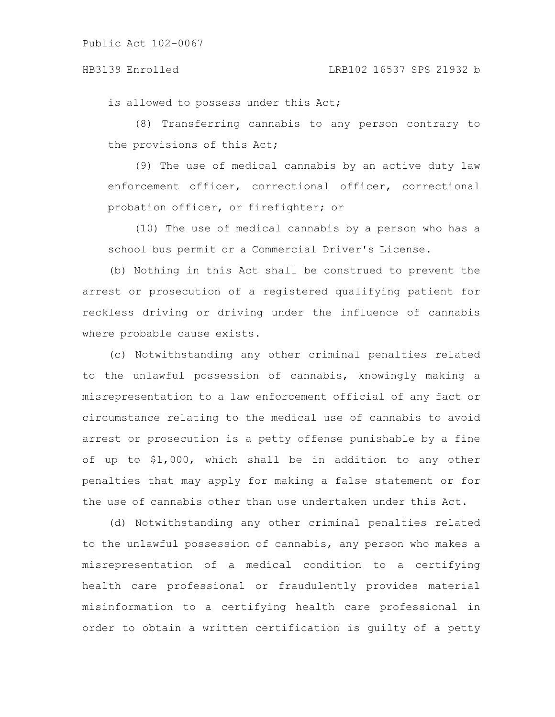is allowed to possess under this Act;

(8) Transferring cannabis to any person contrary to the provisions of this Act;

(9) The use of medical cannabis by an active duty law enforcement officer, correctional officer, correctional probation officer, or firefighter; or

(10) The use of medical cannabis by a person who has a school bus permit or a Commercial Driver's License.

(b) Nothing in this Act shall be construed to prevent the arrest or prosecution of a registered qualifying patient for reckless driving or driving under the influence of cannabis where probable cause exists.

(c) Notwithstanding any other criminal penalties related to the unlawful possession of cannabis, knowingly making a misrepresentation to a law enforcement official of any fact or circumstance relating to the medical use of cannabis to avoid arrest or prosecution is a petty offense punishable by a fine of up to \$1,000, which shall be in addition to any other penalties that may apply for making a false statement or for the use of cannabis other than use undertaken under this Act.

(d) Notwithstanding any other criminal penalties related to the unlawful possession of cannabis, any person who makes a misrepresentation of a medical condition to a certifying health care professional or fraudulently provides material misinformation to a certifying health care professional in order to obtain a written certification is guilty of a petty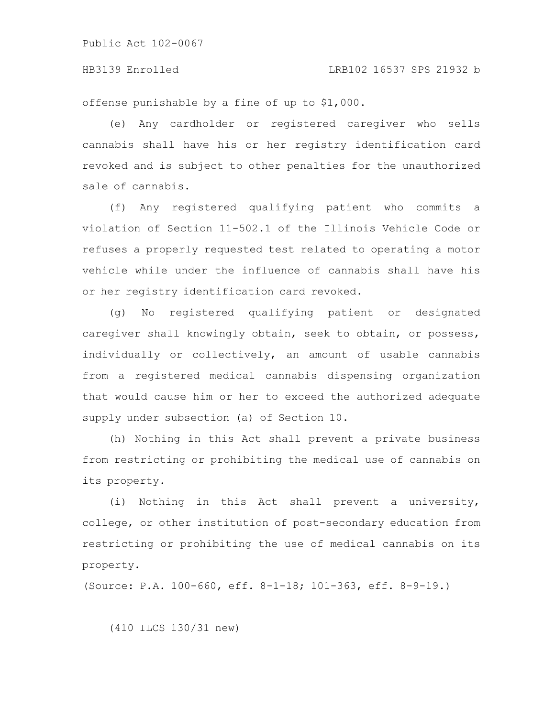Public Act 102-0067

offense punishable by a fine of up to \$1,000.

(e) Any cardholder or registered caregiver who sells cannabis shall have his or her registry identification card revoked and is subject to other penalties for the unauthorized sale of cannabis.

(f) Any registered qualifying patient who commits a violation of Section 11-502.1 of the Illinois Vehicle Code or refuses a properly requested test related to operating a motor vehicle while under the influence of cannabis shall have his or her registry identification card revoked.

(g) No registered qualifying patient or designated caregiver shall knowingly obtain, seek to obtain, or possess, individually or collectively, an amount of usable cannabis from a registered medical cannabis dispensing organization that would cause him or her to exceed the authorized adequate supply under subsection (a) of Section 10.

(h) Nothing in this Act shall prevent a private business from restricting or prohibiting the medical use of cannabis on its property.

(i) Nothing in this Act shall prevent a university, college, or other institution of post-secondary education from restricting or prohibiting the use of medical cannabis on its property.

(Source: P.A. 100-660, eff. 8-1-18; 101-363, eff. 8-9-19.)

(410 ILCS 130/31 new)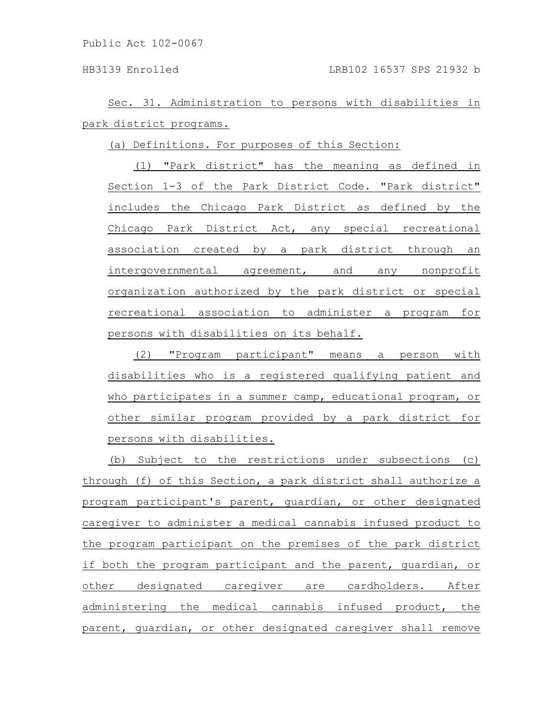Public Act 102-0067

Sec. 31. Administration to persons with disabilities in park district programs.

(a) Definitions. For purposes of this Section:

(1) "Park district" has the meaning as defined in Section 1-3 of the Park District Code. "Park district" includes the Chicago Park District as defined by the Chicago Park District Act, any special recreational association created by a park district through an intergovernmental agreement, and any nonprofit organization authorized by the park district or special recreational association to administer a program for persons with disabilities on its behalf.

(2) "Program participant" means a person with disabilities who is a registered qualifying patient and who participates in a summer camp, educational program, or other similar program provided by a park district for persons with disabilities.

(b) Subject to the restrictions under subsections (c) through (f) of this Section, a park district shall authorize a program participant's parent, guardian, or other designated caregiver to administer a medical cannabis infused product to the program participant on the premises of the park district if both the program participant and the parent, guardian, or other designated caregiver are cardholders. After administering the medical cannabis infused product, the parent, guardian, or other designated caregiver shall remove